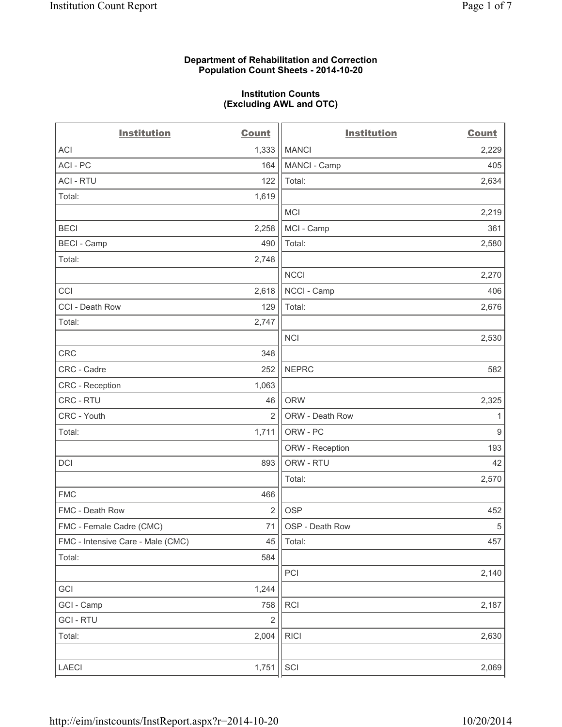#### **Department of Rehabilitation and Correction Population Count Sheets - 2014-10-20**

#### **Institution Counts (Excluding AWL and OTC)**

| <b>Institution</b>                | <b>Count</b>   | <b>Institution</b> | <b>Count</b>     |
|-----------------------------------|----------------|--------------------|------------------|
| <b>ACI</b>                        | 1,333          | <b>MANCI</b>       | 2,229            |
| ACI - PC                          | 164            | MANCI - Camp       | 405              |
| <b>ACI - RTU</b>                  | 122            | Total:             | 2,634            |
| Total:                            | 1,619          |                    |                  |
|                                   |                | <b>MCI</b>         | 2,219            |
| <b>BECI</b>                       | 2,258          | MCI - Camp         | 361              |
| <b>BECI - Camp</b>                | 490            | Total:             | 2,580            |
| Total:                            | 2,748          |                    |                  |
|                                   |                | <b>NCCI</b>        | 2,270            |
| CCI                               | 2,618          | NCCI - Camp        | 406              |
| CCI - Death Row                   | 129            | Total:             | 2,676            |
| Total:                            | 2,747          |                    |                  |
|                                   |                | <b>NCI</b>         | 2,530            |
| CRC                               | 348            |                    |                  |
| CRC - Cadre                       | 252            | <b>NEPRC</b>       | 582              |
| CRC - Reception                   | 1,063          |                    |                  |
| CRC - RTU                         | 46             | <b>ORW</b>         | 2,325            |
| CRC - Youth                       | $\overline{2}$ | ORW - Death Row    | 1                |
| Total:                            | 1,711          | ORW - PC           | $\boldsymbol{9}$ |
|                                   |                | ORW - Reception    | 193              |
| DCI                               | 893            | ORW - RTU          | 42               |
|                                   |                | Total:             | 2,570            |
| <b>FMC</b>                        | 466            |                    |                  |
| FMC - Death Row                   | $\overline{2}$ | <b>OSP</b>         | 452              |
| FMC - Female Cadre (CMC)          | 71             | OSP - Death Row    | $\sqrt{5}$       |
| FMC - Intensive Care - Male (CMC) | 45             | Total:             | 457              |
| Total:                            | 584            |                    |                  |
|                                   |                | PCI                | 2,140            |
| GCI                               | 1,244          |                    |                  |
| GCI - Camp                        | 758            | <b>RCI</b>         | 2,187            |
| <b>GCI - RTU</b>                  | $\overline{2}$ |                    |                  |
| Total:                            | 2,004          | <b>RICI</b>        | 2,630            |
| LAECI                             | 1,751          | SCI                | 2,069            |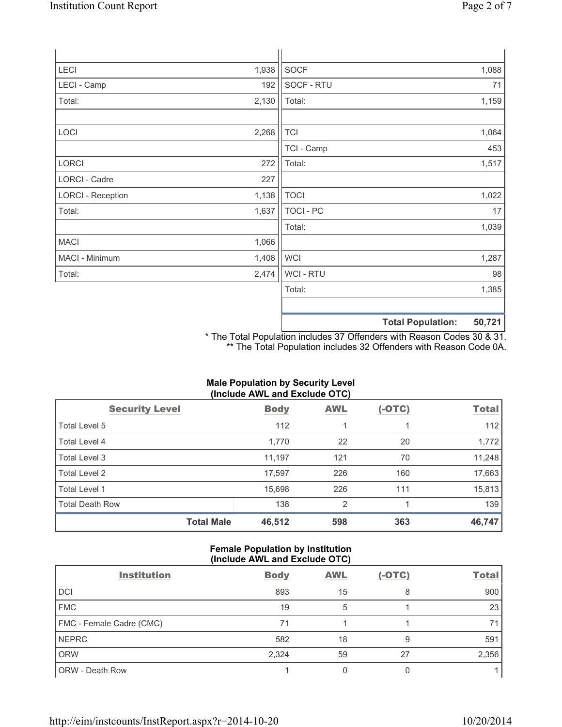| LECI                     | 1,938 | SOCF        | 1,088                                  |
|--------------------------|-------|-------------|----------------------------------------|
| LECI - Camp              | 192   | SOCF - RTU  | 71                                     |
| Total:                   | 2,130 | Total:      | 1,159                                  |
| LOCI                     | 2,268 | <b>TCI</b>  | 1,064                                  |
|                          |       | TCI - Camp  | 453                                    |
| LORCI                    | 272   | Total:      | 1,517                                  |
| LORCI - Cadre            | 227   |             |                                        |
| <b>LORCI - Reception</b> | 1,138 | <b>TOCI</b> | 1,022                                  |
| Total:                   | 1,637 | TOCI - PC   | 17                                     |
|                          |       | Total:      | 1,039                                  |
| <b>MACI</b>              | 1,066 |             |                                        |
| MACI - Minimum           | 1,408 | <b>WCI</b>  | 1,287                                  |
| Total:                   | 2,474 | WCI - RTU   | 98                                     |
|                          |       | Total:      | 1,385                                  |
|                          |       |             |                                        |
|                          |       |             | $E \cap Z \cap A$<br>Total Danulations |

**Total Population: 50,721**

\* The Total Population includes 37 Offenders with Reason Codes 30 & 31. \*\* The Total Population includes 32 Offenders with Reason Code 0A.

# **Male Population by Security Level (Include AWL and Exclude OTC)**

| <b>Security Level</b>  | <b>Body</b> | <b>AWL</b>     | $(-OTC)$ | <b>Total</b> |
|------------------------|-------------|----------------|----------|--------------|
| Total Level 5          | 112         |                |          | 112          |
| Total Level 4          | 1,770       | 22             | 20       | 1,772        |
| Total Level 3          | 11,197      | 121            | 70       | 11,248       |
| Total Level 2          | 17,597      | 226            | 160      | 17,663       |
| <b>Total Level 1</b>   | 15,698      | 226            | 111      | 15,813       |
| <b>Total Death Row</b> | 138         | $\overline{2}$ |          | 139          |
| <b>Total Male</b>      | 46,512      | 598            | 363      | 46,747       |

## **Female Population by Institution (Include AWL and Exclude OTC)**

| <b>Institution</b>       | <b>Body</b> | <b>AWL</b> | $(-OTC)$ | <b>Total</b> |  |
|--------------------------|-------------|------------|----------|--------------|--|
| <b>DCI</b>               | 893         | 15         | 8        | 900          |  |
| <b>FMC</b>               | 19          | 5          |          | 23           |  |
| FMC - Female Cadre (CMC) | 71          |            |          | 71           |  |
| <b>NEPRC</b>             | 582         | 18         | 9        | 591          |  |
| <b>ORW</b>               | 2,324       | 59         | 27       | 2,356        |  |
| <b>ORW - Death Row</b>   |             |            |          |              |  |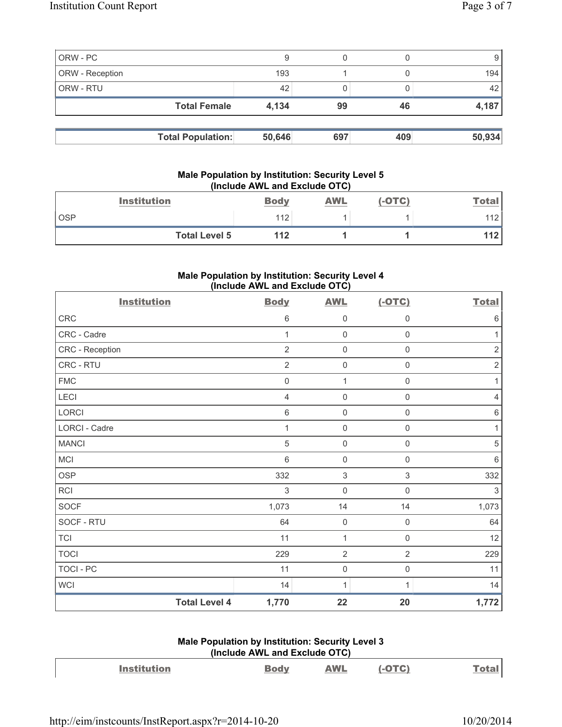| ORW - PC<br>ORW - Reception |                          | 9<br>193 |     |     | 194    |
|-----------------------------|--------------------------|----------|-----|-----|--------|
| ORW - RTU                   |                          | 42       |     |     | 42     |
|                             | <b>Total Female</b>      | 4,134    | 99  | 46  | 4,187  |
|                             |                          |          |     |     |        |
|                             | <b>Total Population:</b> | 50,646   | 697 | 409 | 50,934 |

## **Male Population by Institution: Security Level 5 (Include AWL and Exclude OTC)**

| <b>Institution</b>   | <b>Body</b> | <b>AWL</b> | (-OTC) | <u>Total</u> |
|----------------------|-------------|------------|--------|--------------|
| <b>OSP</b>           | 112         |            |        | 112          |
| <b>Total Level 5</b> | 112         |            |        | 112          |

# **Male Population by Institution: Security Level 4 (Include AWL and Exclude OTC)**

| <b>Institution</b> |                      | <b>Body</b>    | <b>AWL</b>                | $(-OTC)$                  | <b>Total</b>   |
|--------------------|----------------------|----------------|---------------------------|---------------------------|----------------|
| CRC                |                      | $\,6\,$        | $\mathsf{O}\xspace$       | $\mathsf{0}$              | 6              |
| CRC - Cadre        |                      | 1              | $\mathsf{O}\xspace$       | $\mathsf{0}$              |                |
| CRC - Reception    |                      | $\overline{2}$ | 0                         | $\mathsf 0$               | 2              |
| CRC - RTU          |                      | $\overline{2}$ | $\mathsf{O}\xspace$       | $\mathsf{O}\xspace$       | $\overline{2}$ |
| <b>FMC</b>         |                      | $\mathbf 0$    | $\mathbf{1}$              | $\mathbf 0$               |                |
| LECI               |                      | $\overline{4}$ | $\mathsf{O}\xspace$       | $\mathsf{O}\xspace$       | 4              |
| LORCI              |                      | $\,6\,$        | $\mathsf{O}\xspace$       | $\mathsf 0$               | $\,6$          |
| LORCI - Cadre      |                      | 1              | $\mathsf{O}\xspace$       | $\mathsf{O}\xspace$       | 1              |
| <b>MANCI</b>       |                      | $\sqrt{5}$     | $\mathsf{O}\xspace$       | $\mathsf{O}\xspace$       | 5              |
| MCI                |                      | $6\phantom{1}$ | $\mathsf{O}\xspace$       | $\mathsf 0$               | $6\,$          |
| <b>OSP</b>         |                      | 332            | $\ensuremath{\mathsf{3}}$ | $\ensuremath{\mathsf{3}}$ | 332            |
| RCI                |                      | 3              | $\mathsf{O}\xspace$       | $\mathbf 0$               | 3              |
| SOCF               |                      | 1,073          | 14                        | 14                        | 1,073          |
| SOCF - RTU         |                      | 64             | $\mathsf{O}\xspace$       | $\mathsf 0$               | 64             |
| <b>TCI</b>         |                      | 11             | $\mathbf{1}$              | $\mathsf{O}\xspace$       | 12             |
| <b>TOCI</b>        |                      | 229            | $\mathbf 2$               | $\sqrt{2}$                | 229            |
| <b>TOCI - PC</b>   |                      | 11             | $\mathsf{O}\xspace$       | $\mathsf{O}\xspace$       | 11             |
| WCI                |                      | 14             | $\mathbf{1}$              | 1                         | 14             |
|                    | <b>Total Level 4</b> | 1,770          | 22                        | 20                        | 1,772          |

# **Male Population by Institution: Security Level 3 (Include AWL and Exclude OTC)**

| <b>Institution</b> | <u>Body</u> | AWL | $(-OTC)$ | Total |
|--------------------|-------------|-----|----------|-------|
|                    |             |     |          |       |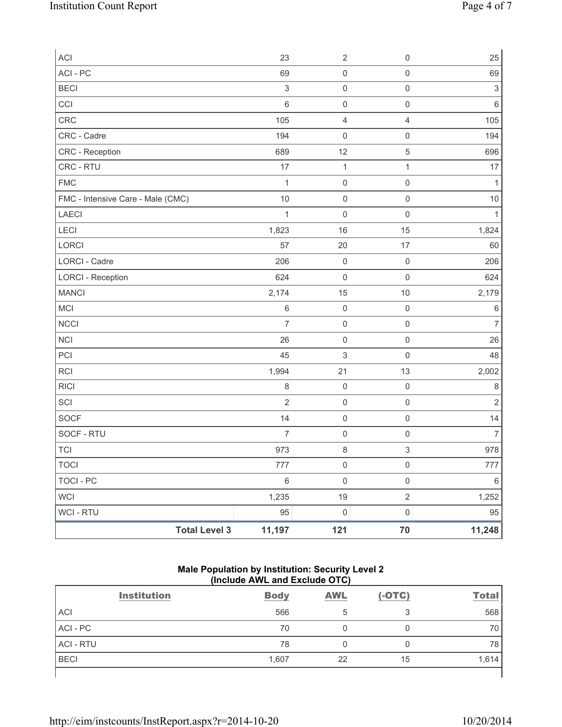| ACI                               | 23             | $\sqrt{2}$                | $\mathsf{O}\xspace$ | 25             |
|-----------------------------------|----------------|---------------------------|---------------------|----------------|
| ACI - PC                          | 69             | $\mathsf{O}\xspace$       | $\mathsf{O}\xspace$ | 69             |
| <b>BECI</b>                       | $\mathfrak{S}$ | $\mathsf{O}\xspace$       | $\mathsf{O}\xspace$ | $\mathsf 3$    |
| CCI                               | $\,$ 6 $\,$    | $\mathsf{O}\xspace$       | $\mathsf{O}\xspace$ | $\,6\,$        |
| CRC                               | 105            | $\overline{4}$            | 4                   | 105            |
| CRC - Cadre                       | 194            | $\mathsf{O}\xspace$       | $\mathsf{O}\xspace$ | 194            |
| CRC - Reception                   | 689            | 12                        | 5                   | 696            |
| CRC - RTU                         | 17             | $\mathbf 1$               | $\mathbf{1}$        | 17             |
| <b>FMC</b>                        | $\mathbf{1}$   | $\mathsf{O}\xspace$       | $\mathsf{O}\xspace$ | $\mathbf{1}$   |
| FMC - Intensive Care - Male (CMC) | $10$           | $\mathsf 0$               | $\mathsf{O}\xspace$ | $10$           |
| LAECI                             | $\mathbf{1}$   | $\mathsf{O}\xspace$       | $\mathsf{O}\xspace$ | $\mathbf{1}$   |
| LECI                              | 1,823          | 16                        | 15                  | 1,824          |
| LORCI                             | 57             | 20                        | $17$                | 60             |
| <b>LORCI - Cadre</b>              | 206            | $\mathsf{O}\xspace$       | $\mathsf 0$         | 206            |
| <b>LORCI - Reception</b>          | 624            | $\mathsf{O}\xspace$       | $\mathsf{O}\xspace$ | 624            |
| <b>MANCI</b>                      | 2,174          | 15                        | 10                  | 2,179          |
| MCI                               | 6              | $\mathsf{O}\xspace$       | $\mathsf{O}\xspace$ | $\,6\,$        |
| <b>NCCI</b>                       | $\overline{7}$ | $\mathsf{O}\xspace$       | $\mathsf{O}\xspace$ | $\overline{7}$ |
| <b>NCI</b>                        | 26             | $\mathsf{O}\xspace$       | $\mathsf{O}\xspace$ | 26             |
| PCI                               | 45             | $\ensuremath{\mathsf{3}}$ | $\mathsf{O}\xspace$ | 48             |
| RCI                               | 1,994          | 21                        | 13                  | 2,002          |
| <b>RICI</b>                       | 8              | $\mathsf{O}\xspace$       | $\mathsf 0$         | $\,8\,$        |
| SCI                               | $\overline{2}$ | $\mathsf 0$               | $\mathsf{O}\xspace$ | $\overline{2}$ |
| SOCF                              | 14             | $\mathsf 0$               | $\mathsf{O}\xspace$ | 14             |
| SOCF - RTU                        | $\overline{7}$ | $\mathsf{O}\xspace$       | $\mathsf{O}\xspace$ | $\overline{7}$ |
| <b>TCI</b>                        | 973            | $\,8\,$                   | 3                   | 978            |
| TOCI                              | 777            | 0                         | $\boldsymbol{0}$    | 777            |
| <b>TOCI - PC</b>                  | $\,6\,$        | $\mathsf 0$               | $\mathsf{O}\xspace$ | $\,6\,$        |
| WCI                               | 1,235          | $19$                      | $\overline{2}$      | 1,252          |
| WCI - RTU                         | 95             | $\mathsf{O}\xspace$       | $\mathsf{O}\xspace$ | 95             |
| <b>Total Level 3</b>              | 11,197         | 121                       | 70                  | 11,248         |

#### **Male Population by Institution: Security Level 2 (Include AWL and Exclude OTC)**

|                  | <b>Institution</b> | <b>Body</b> | <b>AWL</b> | $(-OTC)$ | <b>Total</b> |
|------------------|--------------------|-------------|------------|----------|--------------|
| <b>ACI</b>       |                    | 566         | 5          | 3        | 568          |
| ACI - PC         |                    | 70          |            | 0        | 70           |
| <b>ACI - RTU</b> |                    | 78          |            | 0        | 78           |
| <b>BECI</b>      |                    | 1,607       | 22         | 15       | 1,614        |
|                  |                    |             |            |          |              |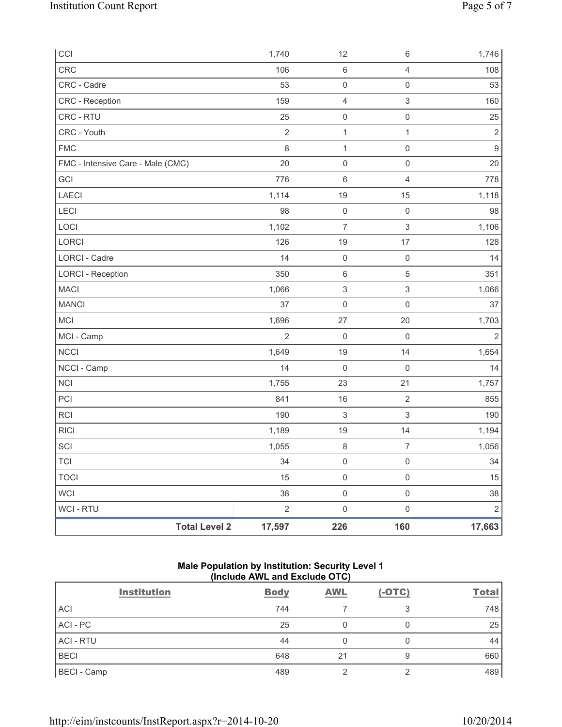| CCI                               | 1,740          | 12                        | $\,6\,$                   | 1,746            |
|-----------------------------------|----------------|---------------------------|---------------------------|------------------|
| CRC                               | 106            | 6                         | $\overline{4}$            | 108              |
| CRC - Cadre                       | 53             | $\mathsf 0$               | $\mathsf{O}\xspace$       | 53               |
| CRC - Reception                   | 159            | 4                         | $\ensuremath{\mathsf{3}}$ | 160              |
| CRC - RTU                         | 25             | $\mathsf{O}\xspace$       | $\mathsf 0$               | 25               |
| CRC - Youth                       | $\sqrt{2}$     | $\mathbf{1}$              | 1                         | $\sqrt{2}$       |
| <b>FMC</b>                        | $\,8\,$        | $\mathbf{1}$              | $\mathsf 0$               | $\boldsymbol{9}$ |
| FMC - Intensive Care - Male (CMC) | 20             | $\mathsf{O}\xspace$       | $\mathsf 0$               | 20               |
| GCI                               | 776            | 6                         | $\overline{4}$            | 778              |
| LAECI                             | 1,114          | 19                        | 15                        | 1,118            |
| <b>LECI</b>                       | 98             | $\mathsf 0$               | $\mathsf 0$               | 98               |
| LOCI                              | 1,102          | $\overline{7}$            | $\ensuremath{\mathsf{3}}$ | 1,106            |
| LORCI                             | 126            | 19                        | $17\,$                    | 128              |
| <b>LORCI - Cadre</b>              | 14             | $\mathsf 0$               | $\mathsf{O}\xspace$       | 14               |
| <b>LORCI - Reception</b>          | 350            | 6                         | 5                         | 351              |
| <b>MACI</b>                       | 1,066          | $\ensuremath{\mathsf{3}}$ | $\ensuremath{\mathsf{3}}$ | 1,066            |
| <b>MANCI</b>                      | 37             | $\mathsf{O}\xspace$       | $\mathsf 0$               | 37               |
| MCI                               | 1,696          | 27                        | 20                        | 1,703            |
| MCI - Camp                        | $\overline{2}$ | $\boldsymbol{0}$          | $\mathsf{O}\xspace$       | $\overline{2}$   |
| NCCI                              | 1,649          | 19                        | 14                        | 1,654            |
| NCCI - Camp                       | 14             | $\mathsf{O}\xspace$       | $\mathsf 0$               | 14               |
| NCI                               | 1,755          | 23                        | 21                        | 1,757            |
| PCI                               | 841            | 16                        | $\sqrt{2}$                | 855              |
| <b>RCI</b>                        | 190            | $\,$ 3 $\,$               | $\,$ 3 $\,$               | 190              |
| <b>RICI</b>                       | 1,189          | 19                        | 14                        | 1,194            |
| SCI                               | 1,055          | $\,8\,$                   | $\boldsymbol{7}$          | 1,056            |
| <b>TCI</b>                        | 34             | 0                         | 0                         | 34               |
| <b>TOCI</b>                       | 15             | $\mathsf{O}\xspace$       | $\mathsf{O}\xspace$       | 15               |
| WCI                               | 38             | $\mathsf{O}\xspace$       | $\mathsf{O}\xspace$       | 38               |
| WCI - RTU                         | $\sqrt{2}$     | $\mathsf{O}\xspace$       | $\mathsf{O}\xspace$       | $\sqrt{2}$       |
| <b>Total Level 2</b>              | 17,597         | 226                       | 160                       | 17,663           |

## **Male Population by Institution: Security Level 1 (Include AWL and Exclude OTC)**

| <b>Institution</b> | <b>Body</b> | <b>AWL</b> | $(-OTC)$ | <b>Total</b> |
|--------------------|-------------|------------|----------|--------------|
| ACI                | 744         |            |          | 748          |
| ACI - PC           | 25          |            |          | 25           |
| <b>ACI - RTU</b>   | 44          |            |          | 44           |
| <b>BECI</b>        | 648         | 21         |          | 660          |
| <b>BECI</b> - Camp | 489         | ⌒          |          | 489          |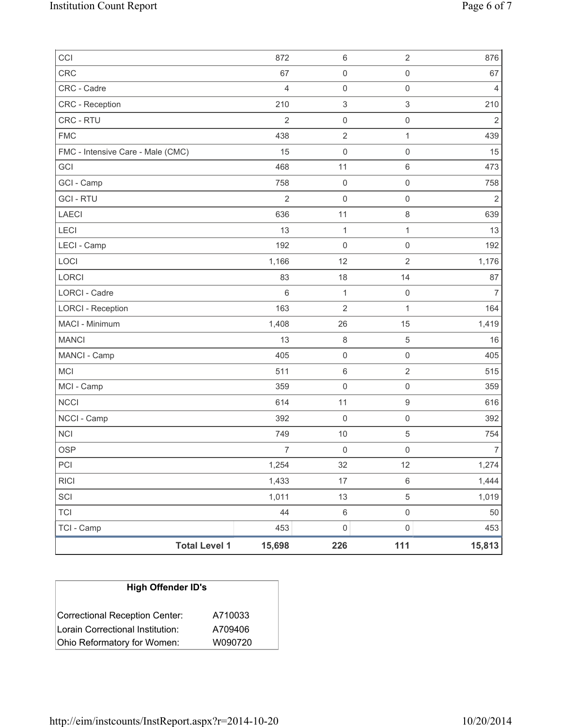| <b>Total Level 1</b>              | 15,698         | $\mathsf{O}\xspace$<br>226 | 111                                        | 453<br>15,813  |
|-----------------------------------|----------------|----------------------------|--------------------------------------------|----------------|
| <b>TCI</b><br>TCI - Camp          | 44<br>453      | $\,6\,$                    | $\mathsf{O}\xspace$<br>$\mathsf{O}\xspace$ | $50\,$         |
| SCI                               | 1,011          | 13                         | 5                                          | 1,019          |
| <b>RICI</b>                       | 1,433          | $17\,$                     | 6                                          | 1,444          |
| PCI                               | 1,254          | 32                         | 12                                         | 1,274          |
| <b>OSP</b>                        | $\overline{7}$ | $\mathbf 0$                | 0                                          | $\overline{7}$ |
| <b>NCI</b>                        | 749            | 10                         | 5                                          | 754            |
| NCCI - Camp                       | 392            | $\mathbf 0$                | $\mathsf{O}\xspace$                        | 392            |
| <b>NCCI</b>                       | 614            | 11                         | $\mathsf g$                                | 616            |
| MCI - Camp                        | 359            | $\mathbf 0$                | $\mathsf{O}\xspace$                        | 359            |
| <b>MCI</b>                        | 511            | $\,6\,$                    | $\overline{2}$                             | 515            |
| MANCI - Camp                      | 405            | $\mathsf{O}\xspace$        | $\mathsf 0$                                | 405            |
| <b>MANCI</b>                      | 13             | 8                          | 5                                          | 16             |
| MACI - Minimum                    | 1,408          | 26                         | 15                                         | 1,419          |
| <b>LORCI - Reception</b>          | 163            | $\overline{2}$             | $\mathbf{1}$                               | 164            |
| <b>LORCI - Cadre</b>              | $6\phantom{1}$ | $\mathbf{1}$               | $\mathsf{O}\xspace$                        | $\overline{7}$ |
| LORCI                             | 83             | 18                         | 14                                         | 87             |
| LOCI                              | 1,166          | 12                         | $\overline{2}$                             | 1,176          |
| LECI - Camp                       | 192            | $\mathsf{O}\xspace$        | $\mathsf{O}\xspace$                        | 192            |
| <b>LECI</b>                       | 13             | 1                          | 1                                          | 13             |
| <b>LAECI</b>                      | 636            | 11                         | 8                                          | 639            |
| <b>GCI-RTU</b>                    | $\overline{2}$ | $\mathbf 0$                | $\mathsf 0$                                | $\overline{2}$ |
| GCI - Camp                        | 758            | $\mathsf{O}\xspace$        | $\mathsf{O}\xspace$                        | 758            |
| GCI                               | 468            | 11                         | 6                                          | 473            |
| FMC - Intensive Care - Male (CMC) | 15             | $\mathsf{O}\xspace$        | $\mathsf{O}\xspace$                        | 15             |
| <b>FMC</b>                        | 438            | $\overline{2}$             | 1                                          | 439            |
| CRC - RTU                         | $\overline{2}$ | $\mathsf{O}\xspace$        | $\mathsf{O}\xspace$                        | $\overline{2}$ |
| CRC - Reception                   | 210            | $\,$ 3 $\,$                | 3                                          | 210            |
| CRC - Cadre                       | $\overline{4}$ | $\mathsf{O}\xspace$        | $\mathsf 0$                                | $\overline{4}$ |
| <b>CRC</b>                        | 67             | $\mathsf{O}\xspace$        | $\mathsf{O}\xspace$                        | 67             |
| CCI                               | 872            | $\,6\,$                    | 2                                          | 876            |

| <b>High Offender ID's</b>        |         |  |  |  |
|----------------------------------|---------|--|--|--|
| Correctional Reception Center:   | A710033 |  |  |  |
| Lorain Correctional Institution: | A709406 |  |  |  |
| Ohio Reformatory for Women:      | W090720 |  |  |  |